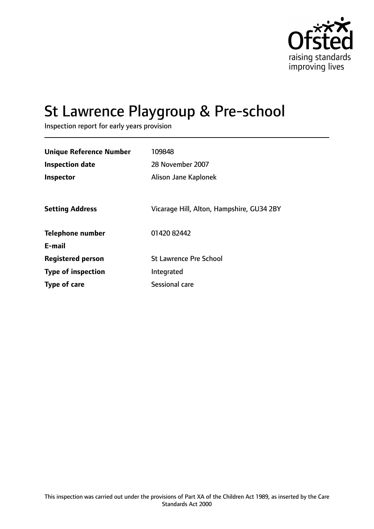

# St Lawrence Playgroup & Pre-school

Inspection report for early years provision

| <b>Unique Reference Number</b><br><b>Inspection date</b> | 109848<br>28 November 2007                |
|----------------------------------------------------------|-------------------------------------------|
| <b>Inspector</b>                                         | Alison Jane Kaplonek                      |
| <b>Setting Address</b>                                   | Vicarage Hill, Alton, Hampshire, GU34 2BY |
| <b>Telephone number</b>                                  | 01420 82442                               |
| E-mail                                                   |                                           |
| <b>Registered person</b>                                 | <b>St Lawrence Pre School</b>             |
| <b>Type of inspection</b>                                | Integrated                                |
| <b>Type of care</b>                                      | Sessional care                            |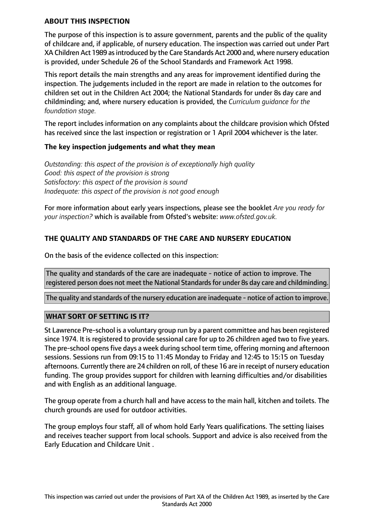### **ABOUT THIS INSPECTION**

The purpose of this inspection is to assure government, parents and the public of the quality of childcare and, if applicable, of nursery education. The inspection was carried out under Part XA Children Act 1989 asintroduced by the Care Standards Act 2000 and, where nursery education is provided, under Schedule 26 of the School Standards and Framework Act 1998.

This report details the main strengths and any areas for improvement identified during the inspection. The judgements included in the report are made in relation to the outcomes for children set out in the Children Act 2004; the National Standards for under 8s day care and childminding; and, where nursery education is provided, the *Curriculum guidance for the foundation stage.*

The report includes information on any complaints about the childcare provision which Ofsted has received since the last inspection or registration or 1 April 2004 whichever is the later.

## **The key inspection judgements and what they mean**

*Outstanding: this aspect of the provision is of exceptionally high quality Good: this aspect of the provision is strong Satisfactory: this aspect of the provision is sound Inadequate: this aspect of the provision is not good enough*

For more information about early years inspections, please see the booklet *Are you ready for your inspection?* which is available from Ofsted's website: *www.ofsted.gov.uk.*

## **THE QUALITY AND STANDARDS OF THE CARE AND NURSERY EDUCATION**

On the basis of the evidence collected on this inspection:

The quality and standards of the care are inadequate - notice of action to improve. The registered person does not meet the National Standards for under 8s day care and childminding.

The quality and standards of the nursery education are inadequate - notice of action to improve.

## **WHAT SORT OF SETTING IS IT?**

St Lawrence Pre-school is a voluntary group run by a parent committee and has been registered since 1974. It is registered to provide sessional care for up to 26 children aged two to five years. The pre-school opensfive days a week during school term time, offering morning and afternoon sessions. Sessions run from 09:15 to 11:45 Monday to Friday and 12:45 to 15:15 on Tuesday afternoons. Currently there are 24 children on roll, of these 16 are in receipt of nursery education funding. The group provides support for children with learning difficulties and/or disabilities and with English as an additional language.

The group operate from a church hall and have access to the main hall, kitchen and toilets. The church grounds are used for outdoor activities.

The group employs four staff, all of whom hold Early Years qualifications. The setting liaises and receives teacher support from local schools. Support and advice is also received from the Early Education and Childcare Unit .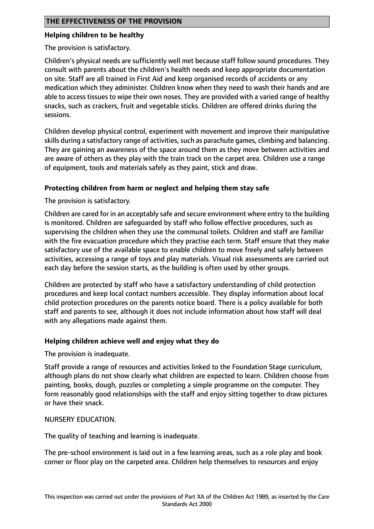## **Helping children to be healthy**

The provision is satisfactory.

Children's physical needs are sufficiently well met because staff follow sound procedures. They consult with parents about the children's health needs and keep appropriate documentation on site. Staff are all trained in First Aid and keep organised records of accidents or any medication which they administer. Children know when they need to wash their hands and are able to access tissues to wipe their own noses. They are provided with a varied range of healthy snacks, such as crackers, fruit and vegetable sticks. Children are offered drinks during the sessions.

Children develop physical control, experiment with movement and improve their manipulative skills during a satisfactory range of activities, such as parachute games, climbing and balancing. They are gaining an awareness of the space around them as they move between activities and are aware of others as they play with the train track on the carpet area. Children use a range of equipment, tools and materials safely as they paint, stick and draw.

## **Protecting children from harm or neglect and helping them stay safe**

The provision is satisfactory.

Children are cared for in an acceptably safe and secure environment where entry to the building is monitored. Children are safeguarded by staff who follow effective procedures, such as supervising the children when they use the communal toilets. Children and staff are familiar with the fire evacuation procedure which they practise each term. Staff ensure that they make satisfactory use of the available space to enable children to move freely and safely between activities, accessing a range of toys and play materials. Visual risk assessments are carried out each day before the session starts, as the building is often used by other groups.

Children are protected by staff who have a satisfactory understanding of child protection procedures and keep local contact numbers accessible. They display information about local child protection procedures on the parents notice board. There is a policy available for both staff and parents to see, although it does not include information about how staff will deal with any allegations made against them.

## **Helping children achieve well and enjoy what they do**

The provision is inadequate.

Staff provide a range of resources and activities linked to the Foundation Stage curriculum, although plans do not show clearly what children are expected to learn. Children choose from painting, books, dough, puzzles or completing a simple programme on the computer. They form reasonably good relationships with the staff and enjoy sitting together to draw pictures or have their snack.

#### NURSERY EDUCATION.

The quality of teaching and learning is inadequate.

The pre-school environment is laid out in a few learning areas, such as a role play and book corner or floor play on the carpeted area. Children help themselves to resources and enjoy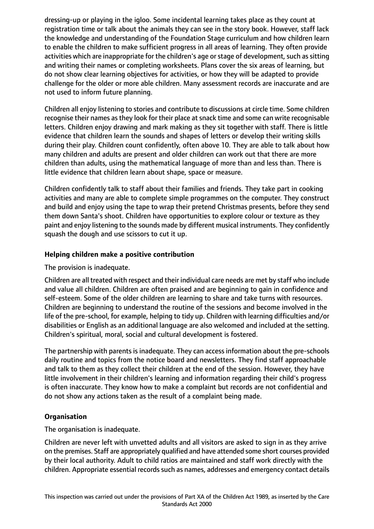dressing-up or playing in the igloo. Some incidental learning takes place as they count at registration time or talk about the animals they can see in the story book. However, staff lack the knowledge and understanding of the Foundation Stage curriculum and how children learn to enable the children to make sufficient progress in all areas of learning. They often provide activities which are inappropriate for the children's age or stage of development, such as sitting and writing their names or completing worksheets. Plans cover the six areas of learning, but do not show clear learning objectives for activities, or how they will be adapted to provide challenge for the older or more able children. Many assessment records are inaccurate and are not used to inform future planning.

Children all enjoy listening to stories and contribute to discussions at circle time. Some children recognise their names as they look for their place at snack time and some can write recognisable letters. Children enjoy drawing and mark making as they sit together with staff. There is little evidence that children learn the sounds and shapes of letters or develop their writing skills during their play. Children count confidently, often above 10. They are able to talk about how many children and adults are present and older children can work out that there are more children than adults, using the mathematical language of more than and less than. There is little evidence that children learn about shape, space or measure.

Children confidently talk to staff about their families and friends. They take part in cooking activities and many are able to complete simple programmes on the computer. They construct and build and enjoy using the tape to wrap their pretend Christmas presents, before they send them down Santa's shoot. Children have opportunities to explore colour or texture as they paint and enjoy listening to the sounds made by different musical instruments. They confidently squash the dough and use scissors to cut it up.

## **Helping children make a positive contribution**

The provision is inadequate.

Children are all treated with respect and their individual care needs are met by staff who include and value all children. Children are often praised and are beginning to gain in confidence and self-esteem. Some of the older children are learning to share and take turns with resources. Children are beginning to understand the routine of the sessions and become involved in the life of the pre-school, for example, helping to tidy up. Children with learning difficulties and/or disabilities or English as an additional language are also welcomed and included at the setting. Children's spiritual, moral, social and cultural development is fostered.

The partnership with parents is inadequate. They can access information about the pre-schools daily routine and topics from the notice board and newsletters. They find staff approachable and talk to them as they collect their children at the end of the session. However, they have little involvement in their children's learning and information regarding their child's progress is often inaccurate. They know how to make a complaint but records are not confidential and do not show any actions taken as the result of a complaint being made.

# **Organisation**

The organisation is inadequate.

Children are never left with unvetted adults and all visitors are asked to sign in as they arrive on the premises. Staff are appropriately qualified and have attended some short courses provided by their local authority. Adult to child ratios are maintained and staff work directly with the children. Appropriate essential records such as names, addresses and emergency contact details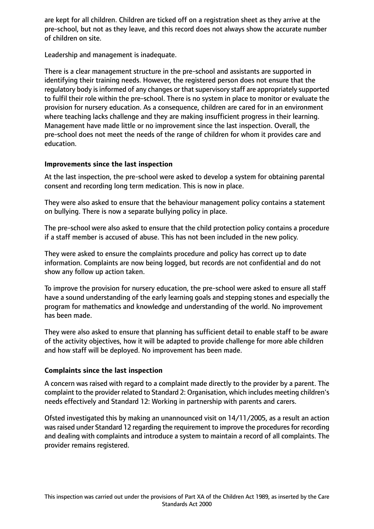are kept for all children. Children are ticked off on a registration sheet as they arrive at the pre-school, but not as they leave, and this record does not always show the accurate number of children on site.

Leadership and management is inadequate.

There is a clear management structure in the pre-school and assistants are supported in identifying their training needs. However, the registered person does not ensure that the regulatory body is informed of any changes or that supervisory staff are appropriately supported to fulfil their role within the pre-school. There is no system in place to monitor or evaluate the provision for nursery education. As a consequence, children are cared for in an environment where teaching lacks challenge and they are making insufficient progress in their learning. Management have made little or no improvement since the last inspection. Overall, the pre-school does not meet the needs of the range of children for whom it provides care and education.

## **Improvements since the last inspection**

At the last inspection, the pre-school were asked to develop a system for obtaining parental consent and recording long term medication. This is now in place.

They were also asked to ensure that the behaviour management policy contains a statement on bullying. There is now a separate bullying policy in place.

The pre-school were also asked to ensure that the child protection policy contains a procedure if a staff member is accused of abuse. This has not been included in the new policy.

They were asked to ensure the complaints procedure and policy has correct up to date information. Complaints are now being logged, but records are not confidential and do not show any follow up action taken.

To improve the provision for nursery education, the pre-school were asked to ensure all staff have a sound understanding of the early learning goals and stepping stones and especially the program for mathematics and knowledge and understanding of the world. No improvement has been made.

They were also asked to ensure that planning has sufficient detail to enable staff to be aware of the activity objectives, how it will be adapted to provide challenge for more able children and how staff will be deployed. No improvement has been made.

## **Complaints since the last inspection**

A concern was raised with regard to a complaint made directly to the provider by a parent. The complaint to the provider related to Standard 2: Organisation, which includes meeting children's needs effectively and Standard 12: Working in partnership with parents and carers.

Ofsted investigated this by making an unannounced visit on 14/11/2005, as a result an action was raised under Standard 12 regarding the requirement to improve the procedures for recording and dealing with complaints and introduce a system to maintain a record of all complaints. The provider remains registered.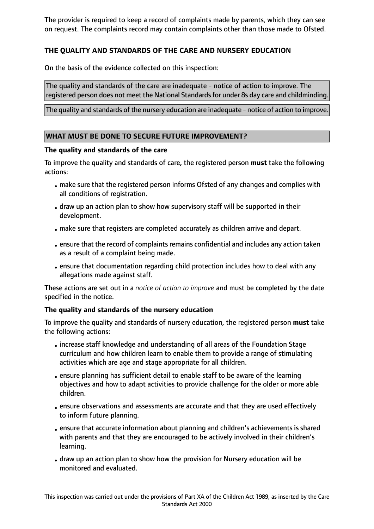The provider is required to keep a record of complaints made by parents, which they can see on request. The complaints record may contain complaints other than those made to Ofsted.

## **THE QUALITY AND STANDARDS OF THE CARE AND NURSERY EDUCATION**

On the basis of the evidence collected on this inspection:

The quality and standards of the care are inadequate - notice of action to improve. The registered person does not meet the National Standardsfor under 8s day care and childminding.

The quality and standards of the nursery education are inadequate - notice of action to improve.

## **WHAT MUST BE DONE TO SECURE FUTURE IMPROVEMENT?**

#### **The quality and standards of the care**

To improve the quality and standards of care, the registered person **must** take the following actions:

- make sure that the registered person informs Ofsted of any changes and complies with all conditions of registration.
- draw up an action plan to show how supervisory staff will be supported in their development.
- make sure that registers are completed accurately as children arrive and depart.
- •ensure that the record of complaints remains confidential and includes any action taken as a result of a complaint being made.
- •ensure that documentation regarding child protection includes how to deal with any allegations made against staff.

These actions are set out in a *notice of action to improve* and must be completed by the date specified in the notice.

## **The quality and standards of the nursery education**

To improve the quality and standards of nursery education, the registered person **must** take the following actions:

- •increase staff knowledge and understanding of all areas of the Foundation Stage curriculum and how children learn to enable them to provide a range of stimulating activities which are age and stage appropriate for all children.
- •ensure planning has sufficient detail to enable staff to be aware of the learning objectives and how to adapt activities to provide challenge for the older or more able children.
- •ensure observations and assessments are accurate and that they are used effectively to inform future planning.
- •ensure that accurate information about planning and children's achievements is shared with parents and that they are encouraged to be actively involved in their children's learning.
- draw up an action plan to show how the provision for Nursery education will be monitored and evaluated.